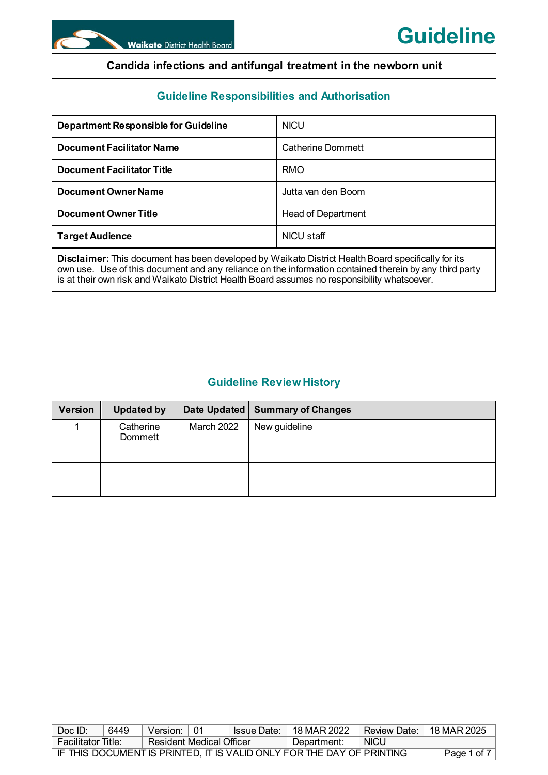# **Guideline Responsibilities and Authorisation**

| <b>Department Responsible for Guideline</b> | <b>NICU</b>               |
|---------------------------------------------|---------------------------|
| <b>Document Facilitator Name</b>            | Catherine Dommett         |
| <b>Document Facilitator Title</b>           | <b>RMO</b>                |
| <b>Document Owner Name</b>                  | Jutta van den Boom.       |
| <b>Document Owner Title</b>                 | <b>Head of Department</b> |
| <b>Target Audience</b>                      | NICU staff                |
|                                             |                           |

**Disclaimer:** This document has been developed by Waikato District Health Board specifically for its own use. Use of this document and any reliance on the information contained therein by any third party is at their own risk and Waikato District Health Board assumes no responsibility whatsoever.

# **Guideline Review History**

| Version | <b>Updated by</b>    |                   | Date Updated   Summary of Changes |
|---------|----------------------|-------------------|-----------------------------------|
|         | Catherine<br>Dommett | <b>March 2022</b> | New guideline                     |
|         |                      |                   |                                   |
|         |                      |                   |                                   |
|         |                      |                   |                                   |

| Doc ID:                                                               | 6449        | Version:                 |  | <b>Issue Date:</b> I | ∣ 18 MAR 2022 | Review Date:   18 MAR 2025 |  |
|-----------------------------------------------------------------------|-------------|--------------------------|--|----------------------|---------------|----------------------------|--|
| <b>Facilitator Title:</b>                                             |             | Resident Medical Officer |  |                      | Department:   | <b>NICU</b>                |  |
| IF THIS DOCUMENT IS PRINTED, IT IS VALID ONLY FOR THE DAY OF PRINTING | Page 1 of 7 |                          |  |                      |               |                            |  |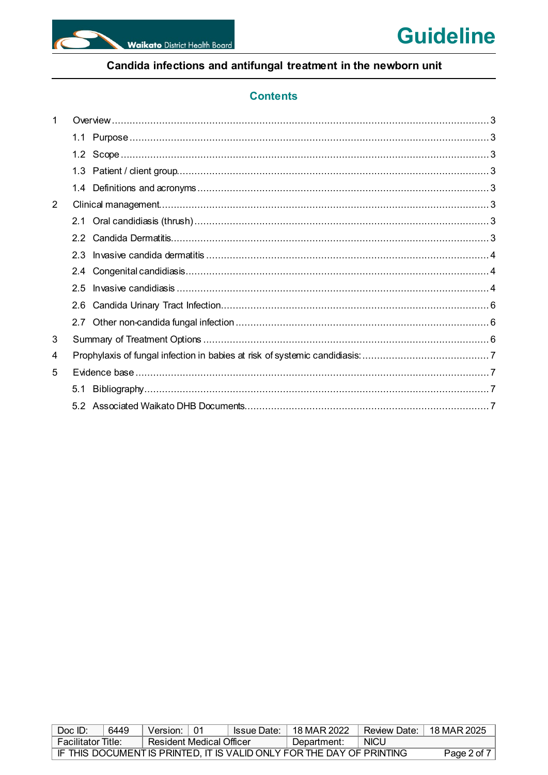

# **Contents**

| 1 |               |  |
|---|---------------|--|
|   |               |  |
|   |               |  |
|   |               |  |
|   |               |  |
| 2 |               |  |
|   |               |  |
|   | $2.2^{\circ}$ |  |
|   | 2.3           |  |
|   | 2.4           |  |
|   | 25            |  |
|   |               |  |
|   |               |  |
| 3 |               |  |
| 4 |               |  |
| 5 |               |  |
|   |               |  |
|   |               |  |

| Doc ID:                   | 6449                                                                  | Version: 101                 |  |  | Issue Date:   18 MAR 2022 | Review Date: 18 MAR 2025 |  |  |
|---------------------------|-----------------------------------------------------------------------|------------------------------|--|--|---------------------------|--------------------------|--|--|
| <b>Facilitator Title:</b> |                                                                       | े Resident Medical Officer । |  |  | Department:               | <b>NICU</b>              |  |  |
|                           | IF THIS DOCUMENT IS PRINTED. IT IS VALID ONLY FOR THE DAY OF PRINTING |                              |  |  |                           |                          |  |  |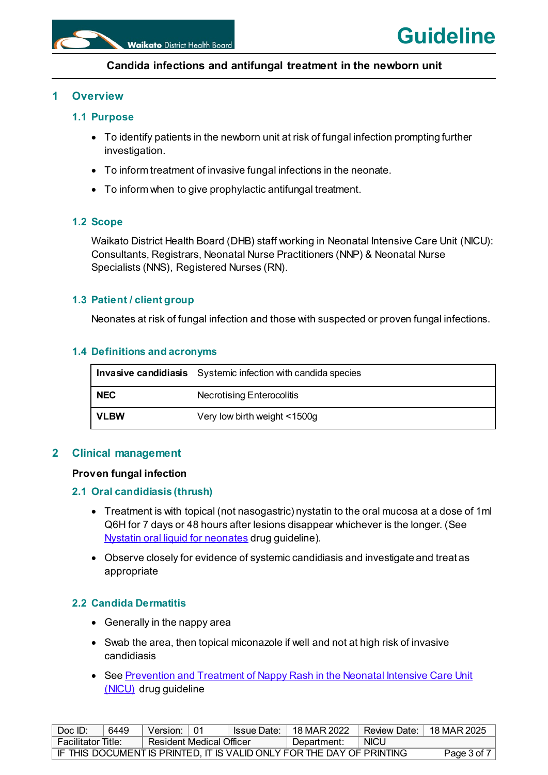

# <span id="page-2-0"></span>**1 Overview**

# <span id="page-2-1"></span>**1.1 Purpose**

- To identify patients in the newborn unit at risk of fungal infection prompting further investigation.
- To inform treatment of invasive fungal infections in the neonate.
- To inform when to give prophylactic antifungal treatment.

# <span id="page-2-2"></span>**1.2 Scope**

Waikato District Health Board (DHB) staff working in Neonatal Intensive Care Unit (NICU): Consultants, Registrars, Neonatal Nurse Practitioners (NNP) & Neonatal Nurse Specialists (NNS), Registered Nurses (RN).

# <span id="page-2-3"></span>**1.3 Patient / client group**

Neonates at risk of fungal infection and those with suspected or proven fungal infections.

### <span id="page-2-4"></span>**1.4 Definitions and acronyms**

|             | <b>Invasive candidiasis</b> Systemic infection with candida species |
|-------------|---------------------------------------------------------------------|
| <b>NEC</b>  | Necrotising Enterocolitis                                           |
| <b>VLBW</b> | Very low birth weight <1500g                                        |

# <span id="page-2-5"></span>**2 Clinical management**

### **Proven fungal infection**

### <span id="page-2-6"></span>**2.1 Oral candidiasis (thrush)**

- Treatment is with topical (not nasogastric) nystatin to the oral mucosa at a dose of 1ml Q6H for 7 days or 48 hours after lesions disappear whichever is the longer. (See [Nystatin oral liquid for neonates](https://intranet.sharepoint.waikato.health.govt.nz/site/pol/published/Nystatin%20oral%20liquid%20for%20neonates.pdf) drug guideline).
- Observe closely for evidence of systemic candidiasis and investigate and treat as appropriate

# <span id="page-2-7"></span>**2.2 Candida Dermatitis**

- Generally in the nappy area
- Swab the area, then topical miconazole if well and not at high risk of invasive candidiasis
- See Prevention and Treatment of Nappy Rash in the Neonatal Intensive Care Unit [\(NICU\)](https://intranet.sharepoint.waikato.health.govt.nz/site/pol/published/Prevention%20and%20Treatment%20of%20Nappy%20Rash%20in%20the%20Neonatal%20Intensive%20Care%20Unit%20(NICU).pdf) drug guideline

| Doc ID:                                                               | 6449        | Version: 01              |  | Issue Date: | 18 MAR 2022 | Review Date: I | 18 MAR 2025 |
|-----------------------------------------------------------------------|-------------|--------------------------|--|-------------|-------------|----------------|-------------|
| ⊦Facilitator Title:                                                   |             | Resident Medical Officer |  |             | Department: | <b>NICU</b>    |             |
| IF THIS DOCUMENT IS PRINTED. IT IS VALID ONLY FOR THE DAY OF PRINTING | Page 3 of 7 |                          |  |             |             |                |             |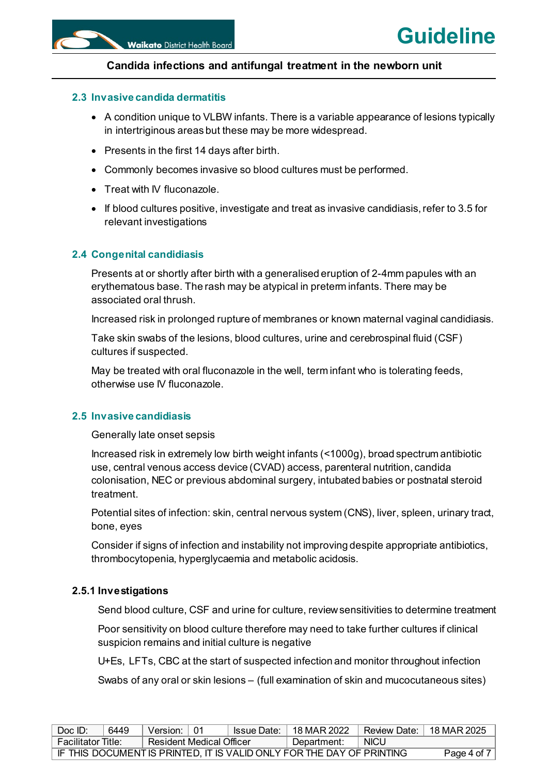### <span id="page-3-0"></span>**2.3 Invasive candida dermatitis**

- A condition unique to VLBW infants. There is a variable appearance of lesions typically in intertriginous areas but these may be more widespread.
- Presents in the first 14 days after birth.
- Commonly becomes invasive so blood cultures must be performed.
- Treat with IV fluconazole.
- $\bullet$  If blood cultures positive, investigate and treat as invasive candidiasis, refer to 3.5 for relevant investigations

#### <span id="page-3-1"></span>**2.4 Congenital candidiasis**

Presents at or shortly after birth with a generalised eruption of 2-4mm papules with an erythematous base. The rash may be atypical in preterm infants. There may be associated oral thrush.

Increased risk in prolonged rupture of membranes or known maternal vaginal candidiasis.

Take skin swabs of the lesions, blood cultures, urine and cerebrospinal fluid (CSF) cultures if suspected.

May be treated with oral fluconazole in the well, term infant who is tolerating feeds, otherwise use IV fluconazole.

#### <span id="page-3-2"></span>**2.5 Invasive candidiasis**

Generally late onset sepsis

Increased risk in extremely low birth weight infants (<1000g), broad spectrum antibiotic use, central venous access device (CVAD) access, parenteral nutrition, candida colonisation, NEC or previous abdominal surgery, intubated babies or postnatal steroid treatment.

Potential sites of infection: skin, central nervous system (CNS), liver, spleen, urinary tract, bone, eyes

Consider if signs of infection and instability not improving despite appropriate antibiotics, thrombocytopenia, hyperglycaemia and metabolic acidosis.

#### **2.5.1 Investigations**

Send blood culture, CSF and urine for culture, review sensitivities to determine treatment

Poor sensitivity on blood culture therefore may need to take further cultures if clinical suspicion remains and initial culture is negative

U+Es, LFTs, CBC at the start of suspected infection and monitor throughout infection

Swabs of any oral or skin lesions – (full examination of skin and mucocutaneous sites)

| Doc ID:             | 6449                                                                  | Version: 01                |  |  | $\textsf{issue Date:} \mid 18 \text{ MAR } 2022$ | Review Date:   18 MAR 2025 |  |
|---------------------|-----------------------------------------------------------------------|----------------------------|--|--|--------------------------------------------------|----------------------------|--|
| ⊦Facilitator Title: |                                                                       | ⊟ Resident Medical Officer |  |  | Department:                                      | <b>NICU</b>                |  |
|                     | IF THIS DOCUMENT IS PRINTED. IT IS VALID ONLY FOR THE DAY OF PRINTING | Page 4 of 7                |  |  |                                                  |                            |  |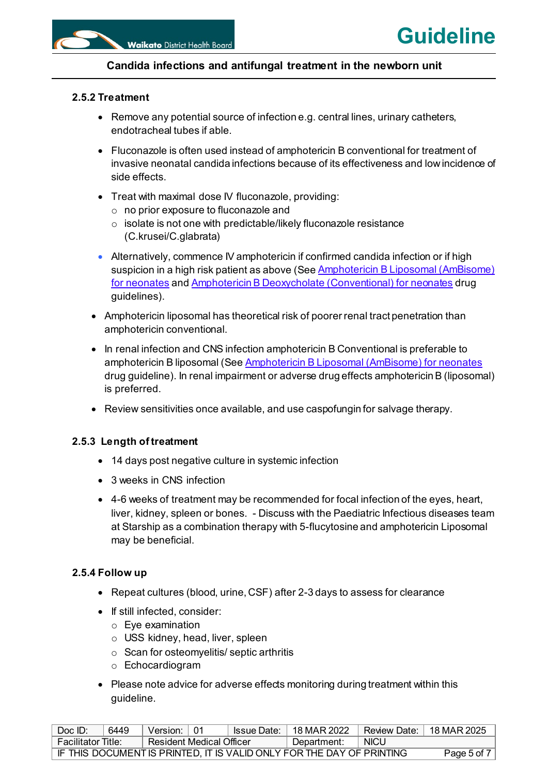# **2.5.2 Treatment**

- Remove any potential source of infection e.g. central lines, urinary catheters, endotracheal tubes if able.
- Fluconazole is often used instead of amphotericin B conventional for treatment of invasive neonatal candida infections because of its effectiveness and low incidence of side effects.
- Treat with maximal dose IV fluconazole, providing:
	- o no prior exposure to fluconazole and
	- $\circ$  isolate is not one with predictable/likely fluconazole resistance (C.krusei/C.glabrata)
- Alternatively, commence IV amphotericin if confirmed candida infection or if high suspicion in a high risk patient as above (See **Amphotericin B Liposomal (AmBisome)** [for neonates](https://intranet.sharepoint.waikato.health.govt.nz/site/pol/published/Amphotericin%20B%20Liposomal%20(AmBisome)%20for%20neonates.pdf) an[d Amphotericin B Deoxycholate \(Conventional\) for neonates](https://intranet.sharepoint.waikato.health.govt.nz/site/pol/published/Amphotericin%20B%20Deoxycholate%20(Conventional)%20for%20neonates.pdf) drug guidelines).
- Amphotericin liposomal has theoretical risk of poorer renal tract penetration than amphotericin conventional.
- In renal infection and CNS infection amphotericin B Conventional is preferable to amphotericin B liposomal (Se[e Amphotericin B Liposomal \(AmBisome\) for neonates](https://intranet.sharepoint.waikato.health.govt.nz/site/pol/published/Amphotericin%20B%20Liposomal%20(AmBisome)%20for%20neonates.pdf) drug guideline). In renal impairment or adverse drug effects amphotericin B (liposomal) is preferred.
- Review sensitivities once available, and use caspofungin for salvage therapy.

### **2.5.3 Length of treatment**

- 14 days post negative culture in systemic infection
- 3 weeks in CNS infection
- 4-6 weeks of treatment may be recommended for focal infection of the eyes, heart, liver, kidney, spleen or bones. - Discuss with the Paediatric Infectious diseases team at Starship as a combination therapy with 5-flucytosine and amphotericin Liposomal may be beneficial.

### **2.5.4 Follow up**

- Repeat cultures (blood, urine, CSF) after 2-3 days to assess for clearance
- If still infected, consider:
	- o Eye examination
	- o USS kidney, head, liver, spleen
	- $\circ$  Scan for osteomyelitis/ septic arthritis
	- o Echocardiogram
- Please note advice for adverse effects monitoring during treatment within this guideline.

| Doc ID:                                                               | 6449        | Version: 01              |  | ˈ Issue Date:   18 MAR 2022 | Review Date: I | 18 MAR 2025 |
|-----------------------------------------------------------------------|-------------|--------------------------|--|-----------------------------|----------------|-------------|
| <b>Facilitator Title:</b>                                             |             | Resident Medical Officer |  | Department:                 | <b>NICU</b>    |             |
| IF THIS DOCUMENT IS PRINTED. IT IS VALID ONLY FOR THE DAY OF PRINTING | Page 5 of 7 |                          |  |                             |                |             |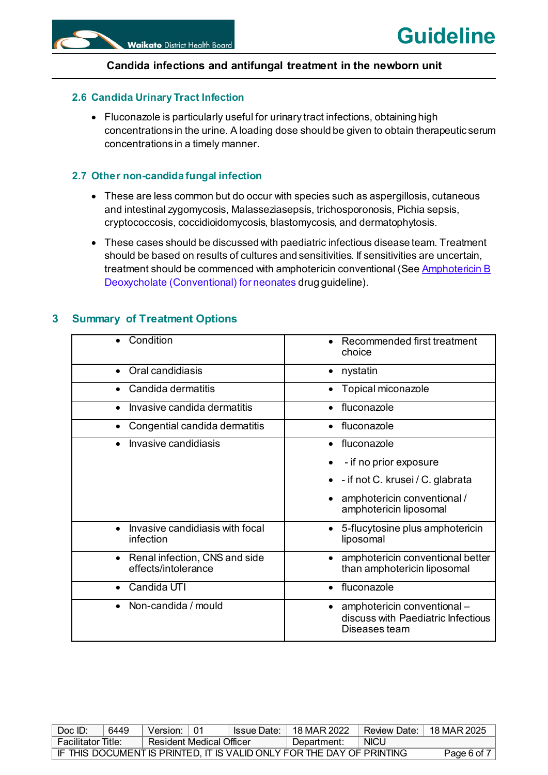# <span id="page-5-0"></span>**2.6 Candida Urinary Tract Infection**

• Fluconazole is particularly useful for urinary tract infections, obtaining high concentrations in the urine. A loading dose should be given to obtain therapeutic serum concentrations in a timely manner.

# <span id="page-5-1"></span>**2.7 Other non-candida fungal infection**

- These are less common but do occur with species such as aspergillosis, cutaneous and intestinal zygomycosis, Malasseziasepsis, trichosporonosis, Pichia sepsis, cryptococcosis, coccidioidomycosis, blastomycosis, and dermatophytosis.
- These cases should be discussed with paediatric infectious disease team. Treatment should be based on results of cultures and sensitivities. If sensitivities are uncertain, treatment should be commenced with amphotericin conventional (See Amphotericin B [Deoxycholate \(Conventional\) for neonates](https://intranet.sharepoint.waikato.health.govt.nz/site/pol/published/Amphotericin%20B%20Deoxycholate%20(Conventional)%20for%20neonates.pdf) drug guideline).

| Condition                                                         | Recommended first treatment<br>choice                                                           |
|-------------------------------------------------------------------|-------------------------------------------------------------------------------------------------|
| Oral candidiasis<br>$\bullet$                                     | nystatin<br>$\bullet$                                                                           |
| Candida dermatitis                                                | Topical miconazole                                                                              |
| Invasive candida dermatitis<br>$\bullet$                          | fluconazole<br>$\bullet$                                                                        |
| Congential candida dermatitis<br>$\bullet$                        | fluconazole<br>$\bullet$                                                                        |
| Invasive candidiasis                                              | fluconazole                                                                                     |
|                                                                   | - if no prior exposure                                                                          |
|                                                                   | - if not C. krusei / C. glabrata                                                                |
|                                                                   | amphotericin conventional /<br>amphotericin liposomal                                           |
| Invasive candidiasis with focal<br>infection                      | 5-flucytosine plus amphotericin<br>$\bullet$<br>liposomal                                       |
| Renal infection, CNS and side<br>$\bullet$<br>effects/intolerance | amphotericin conventional better<br>than amphotericin liposomal                                 |
| Candida UTI                                                       | fluconazole                                                                                     |
| Non-candida / mould<br>$\bullet$                                  | amphotericin conventional -<br>$\bullet$<br>discuss with Paediatric Infectious<br>Diseases team |

# <span id="page-5-2"></span>**3 Summary of Treatment Options**

| Doc ID:                                                                              | 6449 | Version: I               | l 01 |  | $\vert$ Issue Date: $\vert$ 18 MAR 2022 | Review Date: $\mid$ 18 MAR 2025 |  |  |  |
|--------------------------------------------------------------------------------------|------|--------------------------|------|--|-----------------------------------------|---------------------------------|--|--|--|
| <b>Facilitator Title:</b>                                                            |      | Resident Medical Officer |      |  | Department:                             | <b>NICU</b>                     |  |  |  |
| IF THIS DOCUMENT IS PRINTED, IT IS VALID ONLY FOR THE DAY OF PRINTING<br>Page 6 of 7 |      |                          |      |  |                                         |                                 |  |  |  |